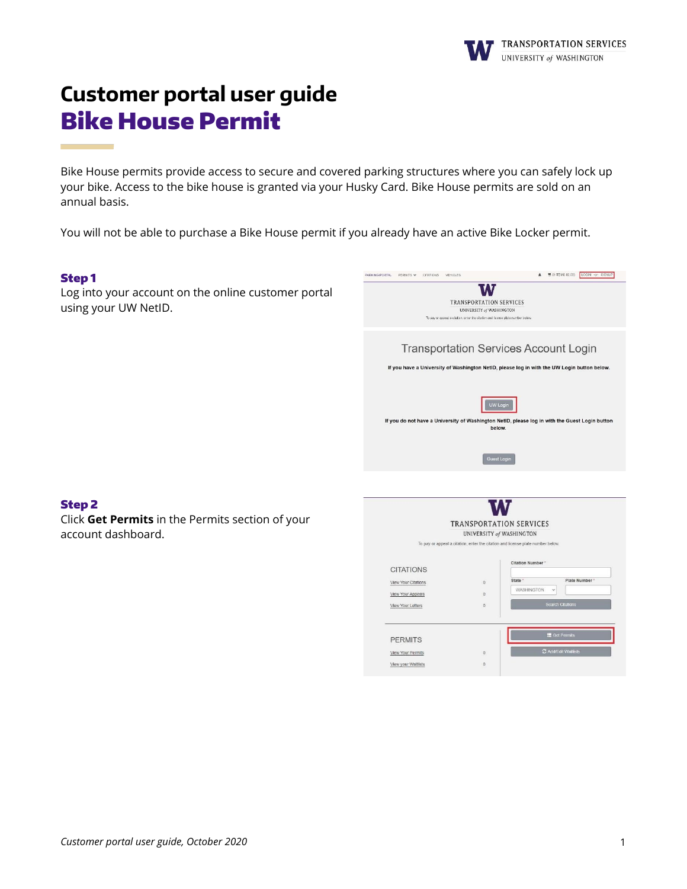

# **Customer portal user guide** Bike House Permit

Bike House permits provide access to secure and covered parking structures where you can safely lock up your bike. Access to the bike house is granted via your Husky Card. Bike House permits are sold on an annual basis.

You will not be able to purchase a Bike House permit if you already have an active Bike Locker permit.

## Step 1

Log into your account on the online customer portal using your UW NetID.



 $\mathbb{O}$ 

View Your Permits

View your Waltlists

## Step 2

Click **Get Permits** in the Permits section of your account dashboard.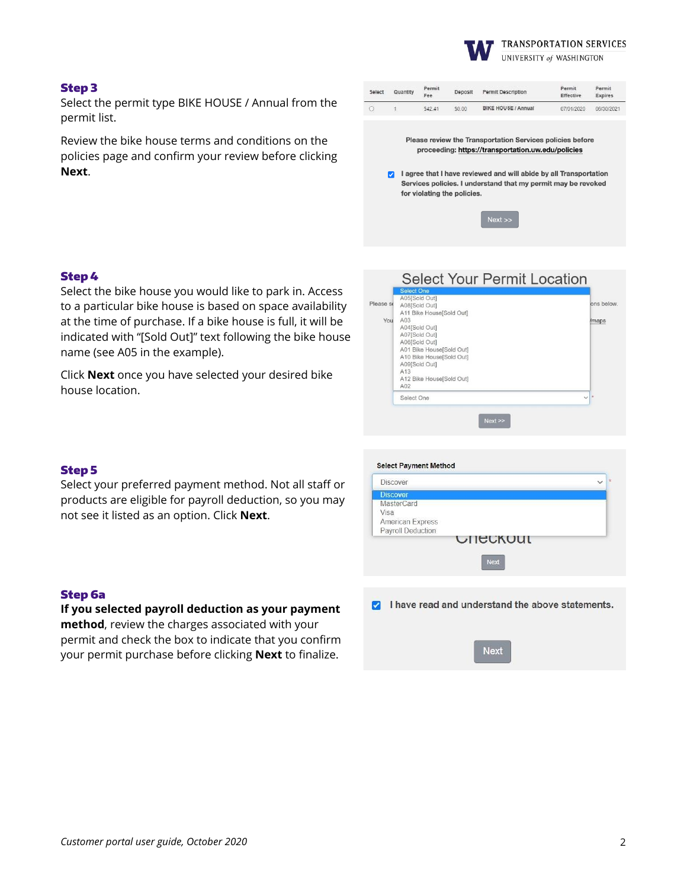

#### Step 3

Select the permit type BIKE HOUSE / Annual from the permit list.

Review the bike house terms and conditions on the policies page and confirm your review before clicking **Next**.

| Select | Quantity | Permit<br>Fee | Deposit | <b>Permit Description</b>                                        | Permit<br>Effective | Permit<br><b>Expires</b> |
|--------|----------|---------------|---------|------------------------------------------------------------------|---------------------|--------------------------|
|        |          | \$42.41       | \$0.00  | <b>BIKE HOUSE / Annual</b>                                       | 07/01/2020          | 06/30/2021               |
|        |          |               |         |                                                                  |                     |                          |
|        |          |               |         | <b>Please review the Transportation Services policies before</b> |                     |                          |
|        |          |               |         | proceeding: https://transportation.uw.edu/policies               |                     |                          |

a lagree that I have reviewed and will abide by all Transportation Services policies. I understand that my permit may be revoked for violating the policies.

| $ex$ t |  |
|--------|--|

## Step 4

Select the bike house you would like to park in. Access to a particular bike house is based on space availability at the time of purchase. If a bike house is full, it will be indicated with "[Sold Out]" text following the bike house name (see A05 in the example).

Click **Next** once you have selected your desired bike house location.

|           | <b>Select One</b><br>A05[Sold Out] |             |
|-----------|------------------------------------|-------------|
| Please se | A08[Sold Out]                      | ons below.  |
|           | A11 Bike House[Sold Out]           |             |
| You       | A03                                | <i>maps</i> |
|           | A04[Sold Out]                      |             |
|           | A07[Sold Out]                      |             |
|           | A06[Sold Out]                      |             |
|           | A01 Bike House[Sold Out]           |             |
|           | A10 Bike House[Sold Out]           |             |
|           | A09[Sold Out]<br>A13               |             |
|           | A12 Bike House[Sold Out]           |             |
|           | A02                                |             |
|           | Select One<br>$\vee$ $*$           |             |
|           |                                    |             |
|           | Next                               |             |

#### Step 5

Select your preferred payment method. Not all staff or products are eligible for payroll deduction, so you may not see it listed as an option. Click **Next**.

| <b>Discover</b>   |                                                  |
|-------------------|--------------------------------------------------|
| <b>Discover</b>   |                                                  |
| MasterCard        |                                                  |
| Visa              |                                                  |
| American Express  |                                                  |
| Payroll Deduction |                                                  |
|                   | <b>Next</b>                                      |
|                   |                                                  |
|                   | I have read and understand the above statements. |

**Next** 

#### Step 6a

**If you selected payroll deduction as your payment method**, review the charges associated with your permit and check the box to indicate that you confirm your permit purchase before clicking **Next** to finalize.